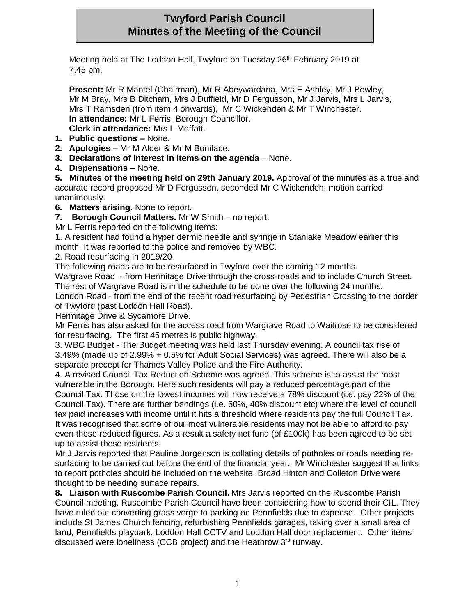# **Twyford Parish Council Minutes of the Meeting of the Council**

Meeting held at The Loddon Hall, Twyford on Tuesday 26<sup>th</sup> February 2019 at 7.45 pm.

**Present:** Mr R Mantel (Chairman), Mr R Abeywardana, Mrs E Ashley, Mr J Bowley, Mr M Bray, Mrs B Ditcham, Mrs J Duffield, Mr D Fergusson, Mr J Jarvis, Mrs L Jarvis, Mrs T Ramsden (from item 4 onwards), Mr C Wickenden & Mr T Winchester. **In attendance:** Mr L Ferris, Borough Councillor. **Clerk in attendance:** Mrs L Moffatt.

- **1. Public questions –** None.
- **2. Apologies –** Mr M Alder & Mr M Boniface.
- **3. Declarations of interest in items on the agenda** None.
- **4. Dispensations** None.

**5. Minutes of the meeting held on 29th January 2019.** Approval of the minutes as a true and accurate record proposed Mr D Fergusson, seconded Mr C Wickenden, motion carried unanimously.

**6. Matters arising.** None to report.

**7. Borough Council Matters.** Mr W Smith – no report.

Mr L Ferris reported on the following items:

1. A resident had found a hyper dermic needle and syringe in Stanlake Meadow earlier this month. It was reported to the police and removed by WBC.

### 2. Road resurfacing in 2019/20

The following roads are to be resurfaced in Twyford over the coming 12 months.

Wargrave Road - from Hermitage Drive through the cross-roads and to include Church Street. The rest of Wargrave Road is in the schedule to be done over the following 24 months.

London Road - from the end of the recent road resurfacing by Pedestrian Crossing to the border of Twyford (past Loddon Hall Road).

Hermitage Drive & Sycamore Drive.

Mr Ferris has also asked for the access road from Wargrave Road to Waitrose to be considered for resurfacing. The first 45 metres is public highway.

3. WBC Budget - The Budget meeting was held last Thursday evening. A council tax rise of 3.49% (made up of 2.99% + 0.5% for Adult Social Services) was agreed. There will also be a separate precept for Thames Valley Police and the Fire Authority.

4. A revised Council Tax Reduction Scheme was agreed. This scheme is to assist the most vulnerable in the Borough. Here such residents will pay a reduced percentage part of the Council Tax. Those on the lowest incomes will now receive a 78% discount (i.e. pay 22% of the Council Tax). There are further bandings (i.e. 60%, 40% discount etc) where the level of council tax paid increases with income until it hits a threshold where residents pay the full Council Tax. It was recognised that some of our most vulnerable residents may not be able to afford to pay even these reduced figures. As a result a safety net fund (of £100k) has been agreed to be set up to assist these residents.

Mr J Jarvis reported that Pauline Jorgenson is collating details of potholes or roads needing resurfacing to be carried out before the end of the financial year. Mr Winchester suggest that links to report potholes should be included on the website. Broad Hinton and Colleton Drive were thought to be needing surface repairs.

**8. Liaison with Ruscombe Parish Council.** Mrs Jarvis reported on the Ruscombe Parish Council meeting. Ruscombe Parish Council have been considering how to spend their CIL. They have ruled out converting grass verge to parking on Pennfields due to expense. Other projects include St James Church fencing, refurbishing Pennfields garages, taking over a small area of land, Pennfields playpark, Loddon Hall CCTV and Loddon Hall door replacement. Other items discussed were loneliness (CCB project) and the Heathrow 3<sup>rd</sup> runway.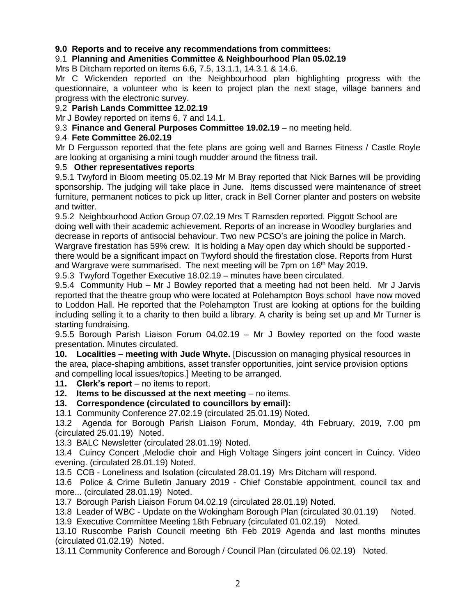## **9.0 Reports and to receive any recommendations from committees:**

## 9.1 **Planning and Amenities Committee & Neighbourhood Plan 05.02.19**

Mrs B Ditcham reported on items 6.6, 7.5, 13.1.1, 14.3.1 & 14.6.

Mr C Wickenden reported on the Neighbourhood plan highlighting progress with the questionnaire, a volunteer who is keen to project plan the next stage, village banners and progress with the electronic survey.

#### 9.2 **Parish Lands Committee 12.02.19**

Mr J Bowley reported on items 6, 7 and 14.1.

9.3 **Finance and General Purposes Committee 19.02.19** – no meeting held.

#### 9.4 **Fete Committee 26.02.19**

Mr D Fergusson reported that the fete plans are going well and Barnes Fitness / Castle Royle are looking at organising a mini tough mudder around the fitness trail.

#### 9.5 **Other representatives reports**

9.5.1 Twyford in Bloom meeting 05.02.19 Mr M Bray reported that Nick Barnes will be providing sponsorship. The judging will take place in June. Items discussed were maintenance of street furniture, permanent notices to pick up litter, crack in Bell Corner planter and posters on website and twitter.

9.5.2 Neighbourhood Action Group 07.02.19 Mrs T Ramsden reported. Piggott School are doing well with their academic achievement. Reports of an increase in Woodley burglaries and decrease in reports of antisocial behaviour. Two new PCSO's are joining the police in March. Wargrave firestation has 59% crew. It is holding a May open day which should be supported there would be a significant impact on Twyford should the firestation close. Reports from Hurst and Wargrave were summarised. The next meeting will be 7pm on 16<sup>th</sup> May 2019.

9.5.3 Twyford Together Executive 18.02.19 – minutes have been circulated.

9.5.4 Community Hub – Mr J Bowley reported that a meeting had not been held. Mr J Jarvis reported that the theatre group who were located at Polehampton Boys school have now moved to Loddon Hall. He reported that the Polehampton Trust are looking at options for the building including selling it to a charity to then build a library. A charity is being set up and Mr Turner is starting fundraising.

9.5.5 Borough Parish Liaison Forum 04.02.19 – Mr J Bowley reported on the food waste presentation. Minutes circulated.

**10. Localities – meeting with Jude Whyte.** [Discussion on managing physical resources in the area, place-shaping ambitions, asset transfer opportunities, joint service provision options and compelling local issues/topics.] Meeting to be arranged.

**11. Clerk's report** – no items to report.

**12. Items to be discussed at the next meeting** – no items.

**13. Correspondence (circulated to councillors by email):**

13.1 Community Conference 27.02.19 (circulated 25.01.19) Noted.

13.2 Agenda for Borough Parish Liaison Forum, Monday, 4th February, 2019, 7.00 pm (circulated 25.01.19) Noted.

13.3 BALC Newsletter (circulated 28.01.19) Noted.

13.4 Cuincy Concert ,Melodie choir and High Voltage Singers joint concert in Cuincy. Video evening. (circulated 28.01.19) Noted.

13.5 CCB - Loneliness and Isolation (circulated 28.01.19) Mrs Ditcham will respond.

13.6 Police & Crime Bulletin January 2019 - Chief Constable appointment, council tax and more... (circulated 28.01.19) Noted.

13.7 Borough Parish Liaison Forum 04.02.19 (circulated 28.01.19) Noted.

13.8 Leader of WBC - Update on the Wokingham Borough Plan (circulated 30.01.19) Noted.

13.9 Executive Committee Meeting 18th February (circulated 01.02.19) Noted.

13.10 Ruscombe Parish Council meeting 6th Feb 2019 Agenda and last months minutes (circulated 01.02.19) Noted.

13.11 Community Conference and Borough / Council Plan (circulated 06.02.19) Noted.